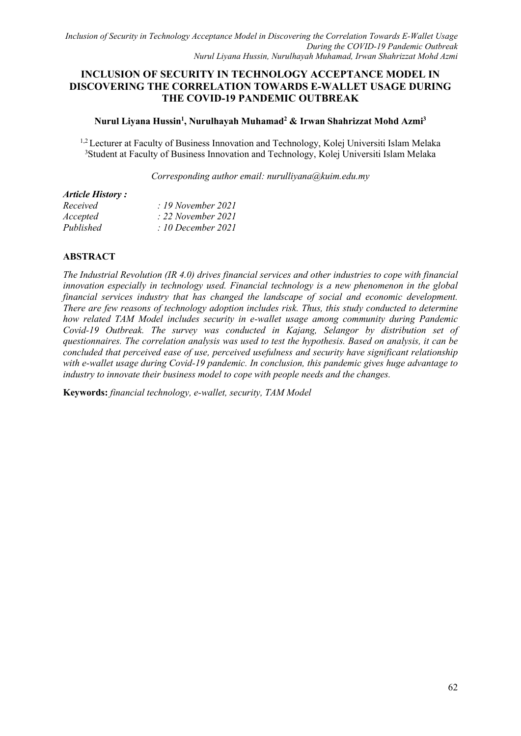# **INCLUSION OF SECURITY IN TECHNOLOGY ACCEPTANCE MODEL IN DISCOVERING THE CORRELATION TOWARDS E-WALLET USAGE DURING THE COVID-19 PANDEMIC OUTBREAK**

# **Nurul Liyana Hussin 1 , Nurulhayah Muhamad <sup>2</sup> & Irwan Shahrizzat Mohd Azmi<sup>3</sup>**

<sup>1,2</sup> Lecturer at Faculty of Business Innovation and Technology, Kolej Universiti Islam Melaka <sup>3</sup>Student at Faculty of Business Innovation and Technology, Kolej Universiti Islam Melaka

*Corresponding author email: [nurulliyana@kuim.edu.my](mailto:nurulliyana@kuim.edu.my)*

#### *Article History :*

| Received  | $\therefore$ 19 November 2021 |
|-----------|-------------------------------|
| Accepted  | $\therefore$ 22 November 2021 |
| Published | : 10 December 2021            |

## **ABSTRACT**

*The Industrial Revolution (IR 4.0) drives financial services and other industries to cope with financial innovation especially in technology used. Financial technology isa new phenomenon in the global financial services industry that has changed the landscape of social and economic development. There are few reasons of technology adoption includes risk. Thus, this study conducted to determine how related TAM Model includes security in e-wallet usage among community during Pandemic Covid-19 Outbreak. The survey was conducted in Kajang, Selangor by distribution set of questionnaires. The correlation analysis was used to test the hypothesis. Based on analysis, it can be concluded that perceived ease of use, perceived usefulness and security have significant relationship with e-wallet usage during Covid-19 pandemic. In conclusion, this pandemic gives huge advantage to industry to innovate their business model to cope with people needs and the changes.*

**Keywords:** *financial technology, e-wallet, security, TAM Model*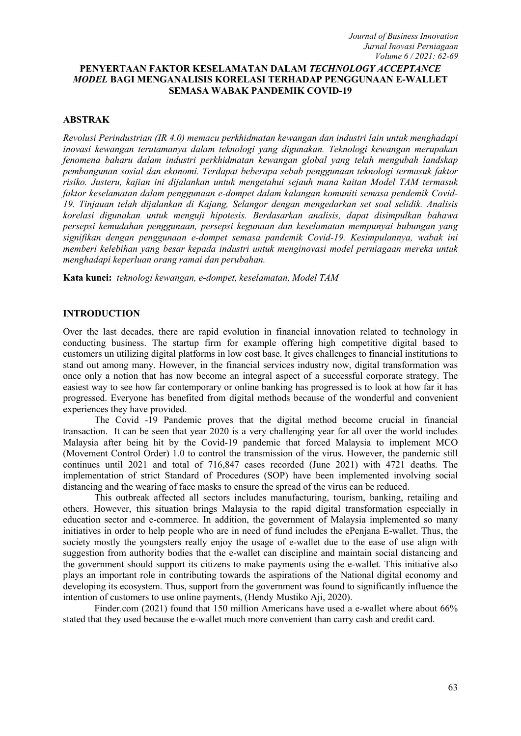## **PENYERTAAN FAKTOR KESELAMATAN DALAM** *TECHNOLOGY ACCEPTANCE MODEL* **BAGI MENGANALISIS KORELASI TERHADAP PENGGUNAAN E-WALLET SEMASA WABAK PANDEMIK COVID-19**

### **ABSTRAK**

*Revolusi Perindustrian (IR 4.0) memacu perkhidmatan kewangan dan industri lain untuk menghadapi inovasi kewangan terutamanya dalam teknologi yang digunakan. Teknologi kewangan merupakan fenomena baharu dalam industri perkhidmatan kewangan global yang telah mengubah landskap pembangunan sosial dan ekonomi. Terdapat beberapa sebab penggunaan teknologi termasuk faktor risiko. Justeru, kajian ini dijalankan untuk mengetahui sejauh mana kaitan Model TAM termasuk faktor keselamatan dalam penggunaan e-dompet dalam kalangan komuniti semasa pendemik Covid- 19. Tinjauan telah dijalankan di Kajang, Selangor dengan mengedarkan set soal selidik. Analisis korelasi digunakan untuk menguji hipotesis. Berdasarkan analisis, dapat disimpulkan bahawa persepsi kemudahan penggunaan, persepsi kegunaan dan keselamatan mempunyai hubungan yang signifikan dengan penggunaan e-dompetsemasa pandemik Covid-19. Kesimpulannya, wabak ini memberi kelebihan yang besar kepada industri untuk menginovasi model perniagaan mereka untuk menghadapi keperluan orang ramai dan perubahan.*

**Kata kunci:** *teknologi kewangan, e-dompet, keselamatan, Model TAM*

#### **INTRODUCTION**

Over the last decades, there are rapid evolution in financial innovation related to technology in conducting business. The startup firm for example offering high competitive digitalbased to customers un utilizing digital platforms in low cost base. It gives challenges to financial institutions to stand out among many. However, in the financial services industry now, digital transformation was once only a notion that has now become an integral aspect of a successful corporate strategy. The easiest way to see how far contemporary or online banking has progressed is to look at how far it has progressed. Everyone has benefited from digital methods because of the wonderful and convenient experiences they have provided.

The Covid -19 Pandemic proves that the digital method become crucial in financial transaction. It can be seen that year 2020 is a very challenging year for all over the world includes Malaysia after being hit by the Covid-19 pandemic that forced Malaysia to implement MCO (Movement Control Order) 1.0 to control the transmission of the virus. However, the pandemic still continues until 2021 and total of 716,847 cases recorded (June 2021) with 4721 deaths. The implementation of strict Standard of Procedures (SOP) have been implemented involving social distancing and the wearing of face masks to ensure the spread of the virus can be reduced.<br>This outbreak affected all sectors includes manufacturing, tourism, banking, retailing and

others. However, this situation brings Malaysia to the rapid digital transformation especially in education sector and e-commerce. In addition, the government of Malaysia implemented so many initiatives in order to help people who are in need of fund includes the ePenjana E-wallet. Thus, the society mostly the youngsters really enjoy the usage of e-wallet due to the ease of use align with suggestion from authority bodies that the e-wallet can discipline and maintain social distancing and the government should support its citizens to make payments using the e-wallet. This initiative also plays an important role in contributing towards the aspirations of the National digital economy and developing its ecosystem. Thus, support from the government was found to significantly influence the intention of customers to use online payments, (Hendy Mustiko Aji, 2020).

Finder.com (2021) found that 150 million Americans have used a e-wallet where about 66% stated that they used because the e-wallet much more convenient than carry cash and credit card.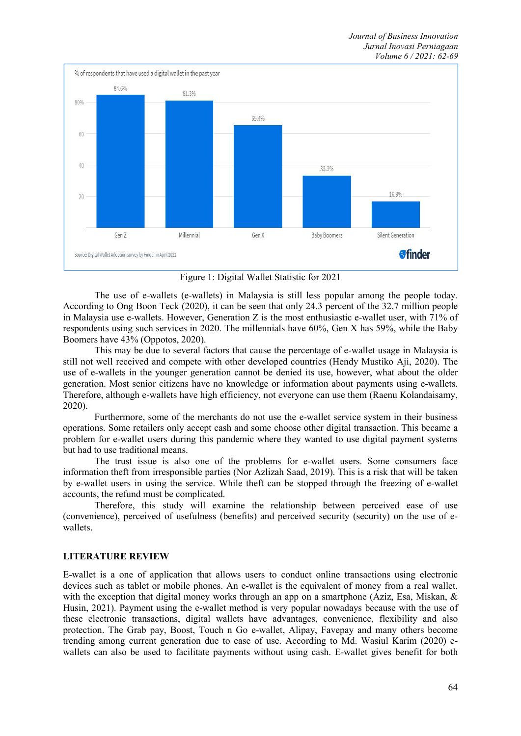

Figure 1: Digital Wallet Statistic for 2021

The use of e-wallets (e-wallets) in Malaysia is still less popular among the people today. According to Ong Boon Teck (2020), it can be seen that only 24.3 percent of the 32.7 million people in Malaysia use e-wallets. However, Generation Z is the most enthusiastic e-wallet user, with 71% of respondents using such services in 2020. The millennials have 60%, Gen X has 59%, while the Baby Boomers have 43% (Oppotos, 2020).

This may be due to several factors that cause the percentage of e-wallet usage in Malaysia is still not well received and compete with other developed countries (Hendy Mustiko Aji, 2020). The use of e-wallets in the younger generation cannot be denied its use, however, what about the older generation. Most senior citizens have no knowledge or information about payments using e-wallets. Therefore, although e-wallets have high efficiency, not everyone can use them (Raenu Kolandaisamy, 2020).

Furthermore, some of the merchants do not use the e-wallet service system in their business operations. Some retailers only accept cash and some choose other digital transaction. This became a problem for e-wallet users during this pandemic where they wanted to use digital payment systems but had to use traditional means.

The trust issue is also one of the problems for e-wallet users. Some consumers face information theft from irresponsible parties (Nor Azlizah Saad, 2019). This is a risk that will be taken by e-wallet users in using the service. While theft can be stopped through the freezing of e-wallet accounts, the refund must be complicated.

Therefore, this study will examine the relationship between perceived ease of use (convenience), perceived of usefulness (benefits) and perceived security (security) on the use of e wallets.

# **LITERATURE REVIEW**

E-wallet is a one of application that allows users to conduct online transactions using electronic devices such as tablet or mobile phones. An e-wallet is the equivalent of money from a real wallet, with the exception that digital money works through an app on a smartphone (Aziz, Esa, Miskan, & Husin, 2021). Payment using the e-wallet method is very popular nowadays because with the use of these electronic transactions, digital wallets have advantages, convenience, flexibility and also protection. The Grab pay, Boost, Touch n Go e-wallet, Alipay, Favepay and many others become trending among current generation due to ease of use. According to Md. Wasiul Karim (2020) e wallets can also be used to facilitate payments without using cash. E-wallet gives benefit for both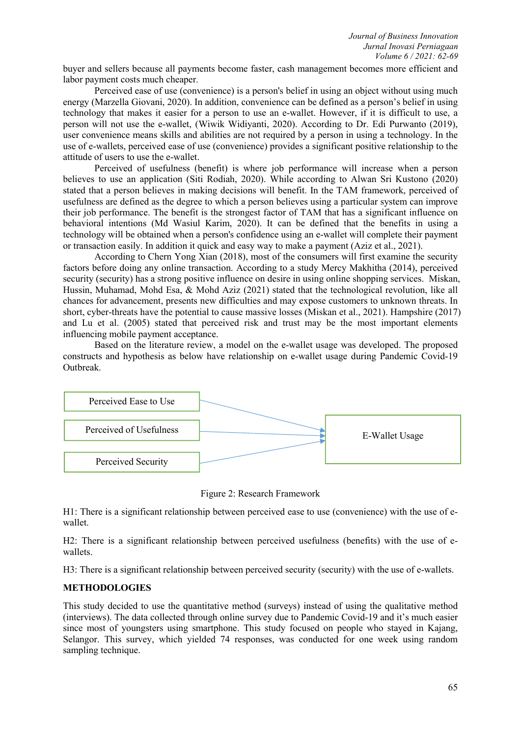buyer and sellers because all payments become faster, cash management becomes more efficient and labor payment costs much cheaper.

Perceived ease of use (convenience) is a person's belief in using an object without using much energy (Marzella Giovani, 2020). In addition, convenience can be defined as a person's belief in using technology that makes it easier for a person to use an e-wallet. However, if it is difficult to use, a person will not use the e-wallet, (Wiwik Widiyanti, 2020). According to Dr. Edi Purwanto (2019), user convenience means skills and abilities are not required by a person in using a technology. In the use of e-wallets, perceived ease of use (convenience) provides a significant positive relationship to the attitude of users to use the e-wallet.

Perceived of usefulness (benefit) is where job performance will increase when a person believes to use an application (Siti Rodiah, 2020). While according to Alwan Sri Kustono (2020) stated that a person believes in making decisions will benefit. In the TAM framework, perceived of usefulness are defined as the degree to which a person believes using a particular system can improve their job performance. The benefit is the strongest factor of TAM that has a significant influence on behavioral intentions (Md Wasiul Karim, 2020). It can be defined that the benefits in using a technology will be obtained when a person's confidence using an e-wallet will complete their payment or transaction easily. In addition it quick and easy way to make a payment (Aziz et al., 2021).

According to Chern Yong Xian (2018), most of the consumers will first examine the security factors before doing any online transaction. According to a study Mercy Makhitha (2014), perceived security (security) has a strong positive influence on desire in using online shopping services. Miskan, Hussin, Muhamad, Mohd Esa, & Mohd Aziz (2021) stated that the technological revolution, like all chances for advancement, presents new difficulties and may expose customers to unknown threats. In short, cyber-threats have the potential to cause massive losses (Miskan et al., 2021). Hampshire (2017) and Lu et al. (2005) stated that perceived risk and trust may be the most important elements influencing mobile payment acceptance.

Based on the literature review, a model on the e-wallet usage was developed. The proposed constructs and hypothesis as below have relationship on e-wallet usage during Pandemic Covid-19 Outbreak.



Figure 2: Research Framework

H1: There is a significant relationship between perceived ease to use (convenience) with the use of e wallet.

H2: There is a significant relationship between perceived usefulness (benefits) with the use of e wallets.

H3: There is a significant relationship between perceived security (security) with the use of e-wallets.

### **METHODOLOGIES**

This study decided to use the quantitative method (surveys) instead of using the qualitative method (interviews). The data collected through online survey due to Pandemic Covid-19 and it's much easier since most of youngsters using smartphone. This study focused on people who stayed in Kajang, Selangor. This survey, which yielded 74 responses, was conducted for one week using random sampling technique.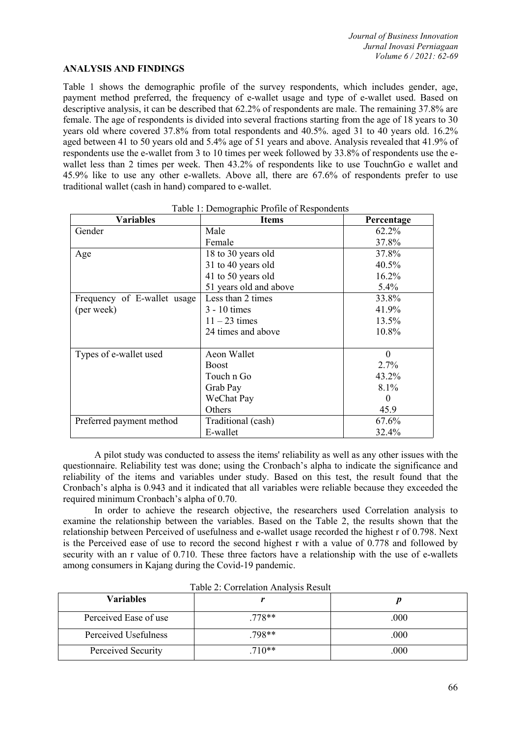### **ANALYSIS AND FINDINGS**

Table 1 shows the demographic profile of the survey respondents, which includes gender, age, payment method preferred, the frequency of e-wallet usage and type of e-wallet used. Based on descriptive analysis, it can be described that 62.2% of respondents are male. The remaining 37.8% are female. The age of respondents is divided into several fractions starting from the age of 18 years to 30 years old where covered 37.8% from total respondents and 40.5%. aged 31 to 40 years old. 16.2% aged between 41 to 50 years old and 5.4% age of 51 years and above. Analysis revealed that 41.9% of respondents use the e-wallet from 3 to 10 times per week followed by 33.8% of respondents use the e wallet less than 2 times per week. Then 43.2% of respondents like to use TouchnGo e wallet and 45.9% like to use any other e-wallets. Above all, there are  $67.6\%$  of respondents prefer to use traditional wallet (cash in hand) compared to e-wallet.

| <b>Variables</b>            | <b>Items</b>           | Percentage |
|-----------------------------|------------------------|------------|
| Gender                      | Male                   | 62.2%      |
|                             | Female                 | 37.8%      |
| Age                         | 18 to 30 years old     | 37.8%      |
|                             | 31 to 40 years old     | 40.5%      |
|                             | 41 to 50 years old     | 16.2%      |
|                             | 51 years old and above | 5.4%       |
| Frequency of E-wallet usage | Less than 2 times      | 33.8%      |
| (per week)                  | $3 - 10$ times         | 41.9%      |
|                             | $11 - 23$ times        | 13.5%      |
|                             | 24 times and above     | 10.8%      |
|                             |                        |            |
| Types of e-wallet used      | Aeon Wallet            | $\theta$   |
|                             | <b>Boost</b>           | 2.7%       |
|                             | Touch n Go             | 43.2%      |
|                             | Grab Pay               | 8.1%       |
|                             | WeChat Pay             | 0          |
|                             | Others                 | 45.9       |
| Preferred payment method    | Traditional (cash)     | 67.6%      |
|                             | E-wallet               | 32.4%      |

A pilot study was conducted to assess the items' reliability as well as any other issues with the questionnaire. Reliability test was done; using the Cronbach's alpha to indicate the significance and reliability of the items and variables under study. Based on this test, the result found that the Cronbach's alpha is0.943 and it indicated that all variables were reliable because they exceeded the required minimum Cronbach's alpha of 0.70.

In order to achieve the research objective, the researchers used Correlation analysis to examine the relationship between the variables. Based on the Table 2, the results shown that the relationship between Perceived of usefulness and e-wallet usage recorded the highestr of 0.798. Next is the Perceived ease of use to record the second highest r with a value of 0.778 and followed by security with an r value of 0.710. These three factors have a relationship with the use of e-wallets among consumers in Kajang during the Covid-19 pandemic.

| <b>Variables</b>      |          |      |
|-----------------------|----------|------|
| Perceived Ease of use | $.778**$ | .000 |
| Perceived Usefulness  | .798**   | .000 |
| Perceived Security    | $710**$  | .000 |

| Table 2: Correlation Analysis Result |  |
|--------------------------------------|--|
|                                      |  |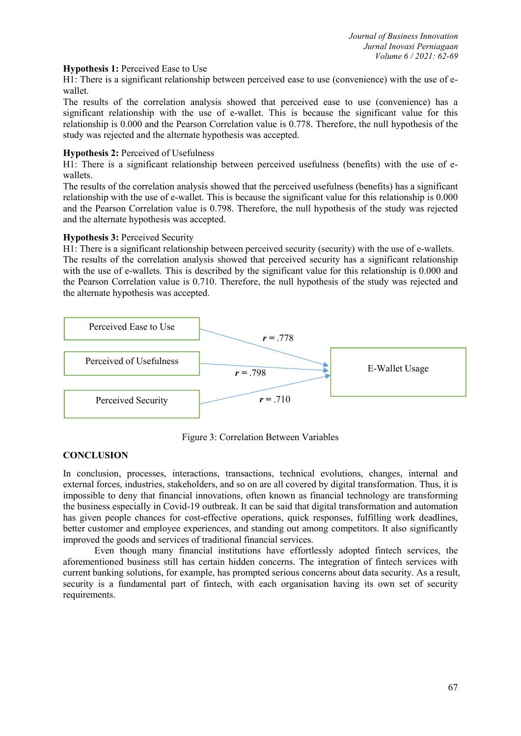## **Hypothesis 1:**Perceived Ease to Use

H1: There is a significant relationship between perceived ease to use (convenience) with the use of e wallet.

The results of the correlation analysis showed that perceived ease to use (convenience) has a significant relationship with the use of e-wallet. This is because the significant value for this relationship is 0.000 and the Pearson Correlation value is 0.778.Therefore, the null hypothesis of the study was rejected and the alternate hypothesis was accepted.

### **Hypothesis 2:** Perceived of Usefulness

H1: There is a significant relationship between perceived usefulness (benefits) with the use of e wallets.

The results of the correlation analysis showed that the perceived usefulness (benefits) has a significant relationship with the use of e-wallet. This is because the significant value for this relationship is 0.000 and the Pearson Correlation value is 0.798. Therefore, the null hypothesis of the study was rejected and the alternate hypothesis was accepted.

## **Hypothesis 3:**Perceived Security

H1: There is a significant relationship between perceived security (security) with the use of e-wallets. The results of the correlation analysis showed that perceived security has a significant relationship with the use of e-wallets. This is described by the significant value for this relationship is 0.000 and the Pearson Correlation value is 0.710. Therefore, the null hypothesis of the study was rejected and the alternate hypothesis was accepted.



Figure 3: Correlation Between Variables

# **CONCLUSION**

In conclusion, processes, interactions, transactions, technical evolutions, changes, internal and external forces, industries, stakeholders, and so on are all covered by digital transformation. Thus, it is impossible to deny that financial innovations, often known as financial technology are transforming the business especially in Covid-19 outbreak. It can be said that digital transformation and automation has given people chances for cost-effective operations, quick responses, fulfilling work deadlines, better customer and employee experiences, and standing out among competitors. It also significantly improved the goods and services of traditional financial services.

Even though many financial institutions have effortlessly adopted fintech services, the aforementioned business still has certain hidden concerns. The integration of fintech services with current banking solutions, for example, has prompted serious concerns about data security. As a result, security is a fundamental part of fintech, with each organisation having its own set of security requirements.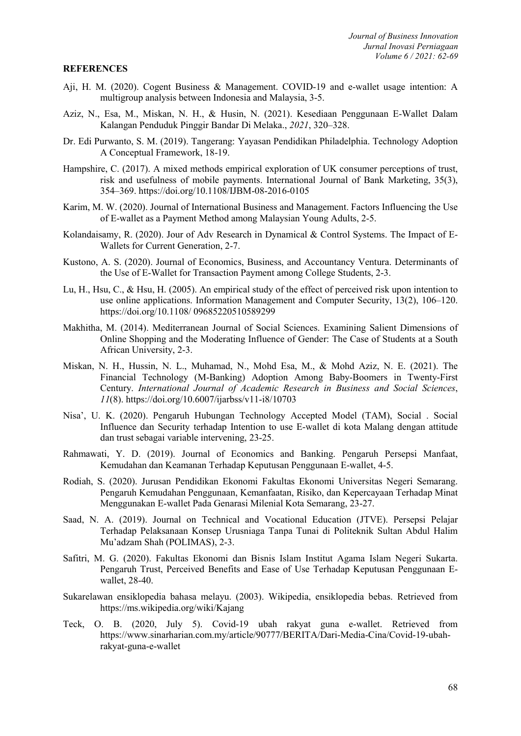#### **REFERENCES**

- Aji, H. M. (2020). Cogent Business & Management. COVID-19 and e-wallet usage intention: A multigroup analysis between Indonesia and Malaysia, 3-5.
- Aziz, N., Esa, M., Miskan, N. H., & Husin, N. (2021). Kesediaan Penggunaan E-Wallet Dalam Kalangan Penduduk PinggirBandar Di Melaka., *2021*, 320–328.
- Dr. Edi Purwanto, S. M. (2019). Tangerang: Yayasan Pendidikan Philadelphia. Technology Adoption A Conceptual Framework, 18-19.
- Hampshire, C. (2017). A mixed methods empirical exploration of UK consumer perceptions of trust, risk and usefulness of mobile payments. International Journal of Bank Marketing, 35(3), 354–369. https://doi.org/10.1108/IJBM-08-2016-0105
- Karim, M. W. (2020). Journal of International Business and Management. Factors Influencing the Use of E-wallet as a Payment Method among Malaysian Young Adults, 2-5.
- Kolandaisamy, R. (2020). Jour of Adv Research in Dynamical & Control Systems. The Impact of E-Wallets for Current Generation, 2-7.
- Kustono, A. S. (2020). Journal of Economics, Business, and Accountancy Ventura. Determinants of the Use of E-Wallet for Transaction Payment among College Students, 2-3.
- Lu, H., Hsu, C., & Hsu, H. (2005). An empirical study of the effect of perceived risk upon intention to use online applications. Information Management and Computer Security, 13(2), 106–120. https://doi.org/10.1108/ 09685220510589299
- Makhitha, M. (2014). Mediterranean Journal of Social Sciences. Examining Salient Dimensions of Online Shopping and the Moderating Influence of Gender: The Case of Students at a South African University, 2-3.
- Miskan, N. H., Hussin, N. L., Muhamad, N., Mohd Esa, M., & Mohd Aziz, N. E. (2021). The Financial Technology (M-Banking) Adoption Among Baby-Boomers in Twenty-First Century. *International Journal of Academic Research in Business and Social Sciences*, *11*(8). https://doi.org/10.6007/ijarbss/v11-i8/10703
- Nisa', U. K. (2020). Pengaruh Hubungan Technology Accepted Model (TAM), Social . Social Influence dan Security terhadap Intention to use E-wallet di kota Malang dengan attitude dan trust sebagai variable intervening, 23-25.
- Rahmawati, Y. D. (2019). Journal of Economics and Banking. Pengaruh Persepsi Manfaat, Kemudahan dan Keamanan Terhadap Keputusan Penggunaan E-wallet, 4-5.
- Rodiah, S. (2020). Jurusan Pendidikan Ekonomi Fakultas Ekonomi Universitas Negeri Semarang. Pengaruh Kemudahan Penggunaan, Kemanfaatan, Risiko, dan Kepercayaan Terhadap Minat Menggunakan E-wallet Pada Genarasi Milenial Kota Semarang, 23-27.
- Saad, N. A. (2019). Journal on Technical and Vocational Education (JTVE). Persepsi Pelajar Terhadap Pelaksanaan Konsep Urusniaga Tanpa Tunai di Politeknik Sultan Abdul Halim Mu'adzam Shah (POLIMAS), 2-3.
- Safitri, M. G. (2020). Fakultas Ekonomi dan Bisnis Islam Institut Agama Islam Negeri Sukarta. Pengaruh Trust, Perceived Benefits and Ease of Use Terhadap Keputusan Penggunaan E wallet, 28-40.
- Sukarelawan ensiklopedia bahasa melayu. (2003). Wikipedia, ensiklopedia bebas. Retrieved from https://ms.wikipedia.org/wiki/Kajang
- Teck, O. B. (2020, July 5). Covid-19 ubah rakyat guna e-wallet. Retrieved from https://www.sinarharian.com.my/article/90777/BERITA/Dari-Media-Cina/Covid-19-ubahrakyat-guna-e-wallet